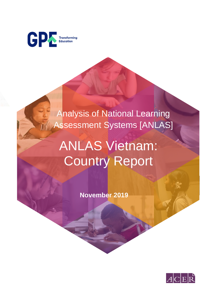

Analysis of National Learning Assessment Systems [ANLAS]

# ANLAS Vietnam: Country Report

 **November 2019**

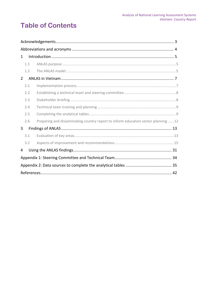# **Table of Contents**

| $\mathbf{1}$   |                                                                                   |  |  |
|----------------|-----------------------------------------------------------------------------------|--|--|
| 1.1            |                                                                                   |  |  |
| 1.2            |                                                                                   |  |  |
| $\overline{2}$ |                                                                                   |  |  |
| 2.1            |                                                                                   |  |  |
| 2.2            |                                                                                   |  |  |
| 2.3            |                                                                                   |  |  |
| 2.4            |                                                                                   |  |  |
| 2.5            |                                                                                   |  |  |
| 2.6            | Preparing and disseminating country report to inform education sector planning 12 |  |  |
| 3              |                                                                                   |  |  |
| 3.1            |                                                                                   |  |  |
| 3.2            |                                                                                   |  |  |
| 4              |                                                                                   |  |  |
|                |                                                                                   |  |  |
|                |                                                                                   |  |  |
|                |                                                                                   |  |  |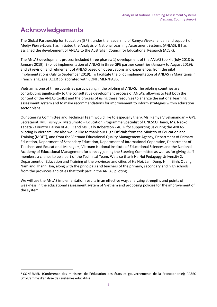# <span id="page-2-0"></span>**Acknowledgements**

The Global Partnership for Education (GPE), under the leadership of Ramya Vivekanandan and support of Medjy Pierre-Louis, has initiated the Analysis of National Learning Assessment Systems (ANLAS). It has assigned the development of ANLAS to the Australian Council for Educational Research (ACER).

The ANLAS development process included three phases: 1) development of the ANLAS toolkit (July 2018 to January 2019); 2) pilot implementation of ANLAS in three GPE partner countries (January to August 2019); and 3) revision and refinement of ANLAS based on observations and experiences from the pilot implementations (July to September 2019). To facilitate the pilot implementation of ANLAS in Mauritania in French language, ACER collaborated with CONFEMEN/PASEC<sup>1</sup>.

Vietnam is one of three countries participating in the piloting of ANLAS. The piloting countries are contributing significantly to the consultative development process of ANLAS, allowing to test both the content of the ANLAS toolkit and the process of using these resources to analyze the national learning assessment system and to make recommendations for improvement to inform strategies within education sector plans.

Our Steering Committee and Technical Team would like to especially thank Ms. Ramya Vivekanandan – GPE Secretariat, Mr. Toshiyuki Matsumoto – Education Programme Specialist of UNESCO Hanoi, Ms. Naoko Tabata - Country Liaison of ACER and Ms. Sally Robertson - ACER for supporting us during the ANLAS piloting in Vietnam. We also would like to thank our High Officials from the Ministry of Education and Training (MOET), and from the Vietnam Educational Quality Management Agency, Department of Primary Education, Department of Secondary Education, Department of International Coperation, Department of Teachers and Educational Managers, Vietnam National Institute of Educational Sciences and the National Academy of Educational Management for directly joining the Steering Committee as well as for giving staff members a chance to be a part of the Technical Team. We also thank Ha Noi Pedagogy University 2, Department of Education and Training of the provinces and cities of Ha Noi, Lam Dong, Ninh Binh, Quang Nam and Thanh Hoa, along with the principals and teachers of the primary, secondary and high schools from the provinces and cities that took part in the ANLAS piloting.

We will use the ANLAS implementation results in an effective way, analyzing strengths and points of weakness in the educational assessment system of Vietnam and proposing policies for the improvement of the system.

<sup>1</sup> CONFEMEN (Conférence des ministres de l'éducation des états et gouvernements de la Francophonie); PASEC (Programme d'analyse des systèmes éducatifs).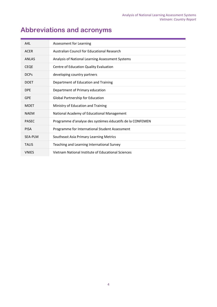# <span id="page-3-0"></span>**Abbreviations and acronyms**

| A4L            | Assessment for Learning                                   |
|----------------|-----------------------------------------------------------|
| <b>ACER</b>    | <b>Australian Council for Educational Research</b>        |
| <b>ANLAS</b>   | Analysis of National Learning Assessment Systems          |
| <b>CEQE</b>    | Centre of Education Quality Evaluation                    |
| <b>DCPs</b>    | developing country partners                               |
| <b>DOET</b>    | Department of Education and Training                      |
| <b>DPE</b>     | Department of Primary education                           |
| <b>GPE</b>     | <b>Global Partnership for Education</b>                   |
| <b>MOET</b>    | Ministry of Education and Training                        |
| <b>NAFM</b>    | National Academy of Educational Management                |
| <b>PASEC</b>   | Programme d'analyse des systèmes éducatifs de la CONFEMEN |
| <b>PISA</b>    | Programme for International Student Assessment            |
| <b>SEA-PLM</b> | Southeast Asia Primary Learning Metrics                   |
| <b>TALIS</b>   | Teaching and Learning International Survey                |
| <b>VNIES</b>   | Vietnam National Institute of Educational Sciences        |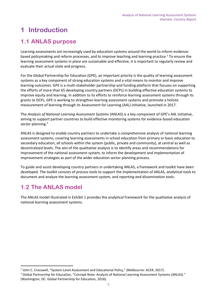# <span id="page-4-0"></span>**1 Introduction**

### <span id="page-4-1"></span>**1.1 ANLAS purpose**

Learning assessments are increasingly used by education systems around the world to inform evidencebased policymaking and reform processes, and to improve teaching and learning practice.<sup>2</sup> To ensure the learning assessment systems in place are sustainable and effective, it is important to regularly review and evaluate their actual state and progress.

For the Global Partnership for Education (GPE), an important priority is the quality of learning assessment systems as a key component of strong education systems and a vital means to monitor and improve learning outcomes. GPE is a multi-stakeholder partnership and funding platform that focuses on supporting the efforts of more than 65 developing country partners (DCPs) in building effective education systems to improve equity and learning. In addition to its efforts to reinforce learning assessment systems through its grants to DCPs, GPE is working to strengthen learning assessment systems and promote a holistic measurement of learning through its Assessment for Learning (A4L) initiative, launched in 2017.

The *Analysis of National Learning Assessment Systems* (ANLAS) is a key component of GPE's A4L initiative, aiming to support partner countries to build effective monitoring systems for evidence-based education sector planning.<sup>3</sup>

ANLAS is designed to enable country partners to undertake a comprehensive analysis of national learning assessment systems, covering learning assessments in school education from primary or basic education to secondary education, all schools within the system (public, private and community), at central as well as decentralized levels. The aim of the qualitative analysis is to identify areas and recommendations for improvement of the national assessment system, to inform the development and implementation of improvement strategies as part of the wider education sector planning process.

To guide and assist developing country partners in undertaking ANLAS, a framework and toolkit have been developed. The toolkit consists of *process tools* to support the implementation of ANLAS, *analytical tools* to document and analyze the learning assessment system, and *reporting and dissemination tools*.

### <span id="page-4-2"></span>**1.2 The ANLAS model**

The ANLAS model illustrated in [Exhibit 1](#page-5-0) provides the analytical framework for the qualitative analysis of national learning assessment systems.

<sup>&</sup>lt;sup>2</sup> John C. Cresswell, "System-Level Assessment and Educational Policy," (Melbourne: ACER, 2017).

<sup>&</sup>lt;sup>3</sup> Global Partnership for Education, "Concept Note: Analysis of National Learning Assessment Systems (ANLAS)." (Washington, DC: Global Partnership for Education, 2018).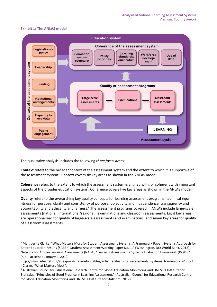#### <span id="page-5-0"></span>**Exhibit 1: The ANLAS model**



The qualitative analysis includes the following *three focus areas:*

**Context** refers to the broader context of the assessment system and the extent to which it is supportive of the assessment system<sup>4</sup>. Context covers six key areas as shown in the ANLAS model.

**Coherence** refers to the extent to which the assessment system is aligned with, or coherent with important aspects of the broader education system<sup>5</sup>. Coherence covers five key areas as shown in the ANLAS model.

**Quality** refers to the overarching key quality concepts for learning assessment programs: technical rigor, fitness for purpose, clarify and consistency of purpose, objectivity and independence, transparency and accountability and ethicality and fairness.<sup>6</sup> The assessment programs covered in ANLAS include large-scale assessments (national, international/regional), examinations and classroom assessments. Eight key areas are operationalized for quality of large-scale assessments and examinations, and seven key areas for quality of classroom assessments.

<sup>4</sup> Marguerite Clarke, "What Matters Most for Student Assessment Systems: A Framework Paper: Systems Approach for Better Education Results (SABER) Student Assessment Working Paper No. 1," (Washington, DC: World Bank, 2012); Network for African Learning Assessments (NALA), "Learning Assessments Systems Evaluation Framework (Draft)," (n.d.), accessed January 4, 2019,

http://www.adeanet.org/adeapmp/sites/default/files/activities/learning\_assessments\_systems\_framework\_v18.pdf <sup>5</sup> Clarke, "What Matters Most".

<sup>6</sup> Australian Council for Educational Research Centre for Global Education Monitoring and UNESCO Institute for Statistics, "Principles of Good Practice in Learning Assessment," (Australian Council for Educational Research Centre for Global Education Monitoring and UNESCO Institute for Statistics, 2017).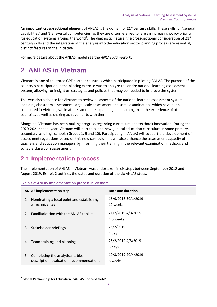An important **cross-sectional element** of ANLAS is the domain of **21st century skills.** These skills, or 'general capabilities' and 'transversal competencies' as they are often referred to, are an increasing policy priority for education systems around the world<sup>7</sup>. The diagnostic nature, the cross-sectional consideration of 21<sup>st</sup> century skills and the integration of the analysis into the education sector planning process are essential, distinct features of the initiative.

For more details about the ANLAS model see the *ANLAS Framework*.

# <span id="page-6-0"></span>**2 ANLAS in Vietnam**

Vietnam is one of the three GPE partner countries which participated in piloting ANLAS. The purpose of the country's participation in the piloting exercise was to analyze the entire national learning assessment system, allowing for insight on strategies and policies that may be needed to improve the system.

This was also a chance for Vietnam to review all aspects of the national learning assessment system, including classroom assessment, large-scale assessment and some examinations which have been conducted in Vietnam, while at the same time expanding and learning from the experience of other countries as well as sharing achievements with them.

Alongside, Vietnam has been making progress regarding curriculum and textbook innovation. During the 2020-2021 school year, Vietnam will start to pilot a new general education curriculum in some primary, secondary, and high schools (Grades 1, 6 and 10). Participating in ANLAS will support the development of assessment regulations based on this new curriculum. It will also enhance the assessment capacity of teachers and education managers by informing their training in the relevant examination methods and suitable classroom assessment.

### <span id="page-6-1"></span>**2.1 Implementation process**

The implementation of ANLAS in Vietnam was undertaken in six steps between September 2018 and August 2019. [Exhibit 2](#page-6-2) outlines the dates and duration of the six ANLAS steps.

| <b>ANLAS implementation step</b>                                                    | Date and duration               |
|-------------------------------------------------------------------------------------|---------------------------------|
| Nominating a focal point and establishing<br>1.<br>a Technical team                 | 15/9/2018-30/1/2019<br>19 weeks |
| 2. Familiarization with the ANLAS toolkit                                           | 21/2/2019-4/3/2019<br>1.5 weeks |
| Stakeholder briefings<br>3.                                                         | 26/2/2019<br>1 day              |
| Team training and planning<br>4.                                                    | 28/2/2019-4/3/2019<br>3 days    |
| Completing the analytical tables:<br>5.<br>description, evaluation, recommendations | 10/3/2019-20/4/2019<br>6 weeks  |

#### <span id="page-6-2"></span>**Exhibit 2: ANLAS implementation process in Vietnam**

<sup>7</sup> Global Partnership for Education, "ANLAS Concept Note".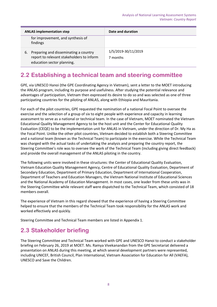| <b>ANLAS implementation step</b>                                                                                       | Date and duration               |
|------------------------------------------------------------------------------------------------------------------------|---------------------------------|
| for improvement, and synthesis of<br>findings                                                                          |                                 |
| Preparing and disseminating a country<br>6.<br>report to relevant stakeholders to inform<br>education sector planning. | 1/5/2019-30/11/2019<br>7 months |

### <span id="page-7-0"></span>**2.2 Establishing a technical team and steering committee**

GPE, via UNESCO Hanoi (the GPE Coordinating Agency in Vietnam), sent a letter to the MOET introducing the ANLAS program, including its purpose and usefulness. After studying the potential relevance and advantages of participation, Vietnam then expressed its desire to do so and was selected as one of three participating countries for the piloting of ANLAS, along with Ethiopia and Mauritania.

For each of the pilot countries, GPE requested the nomination of a national Focal Point to oversee the exercise and the selection of a group of six to eight people with experience and capacity in learning assessment to serve as a national or technical team. In the case of Vietnam, MOET nominated the Vietnam Educational Quality Management Agency to be the host unit and the Center for Educational Quality Evaluation (CEQE) to be the implementation unit for ANLAS in Vietnam, under the direction of Dr. My Ha as the Focal Point. Unlike the other pilot countries, Vietnam decided to establish both a Steering Committee and a national team (known as the Technical Team) to participate in the exercise. While the Technical Team was charged with the actual tasks of undertaking the analysis and preparing the country report, the Steering Committee's role was to oversee the work of the Technical Team (including giving direct feedback) and provide the overall management of the ANLAS piloting in the country.

The following units were involved in these structures: the Center of Educational Quality Evaluation, Vietnam Education Quality Management Agency, Centre of Educational Quality Evaluation, Department of Secondary Education, Department of Primary Education, Department of International Cooperation, Department of Teachers and Education Managers, the Vietnam National Institute of Educational Sciences and the National Academy of Education Management. In most cases, one leader from these units was in the Steering Committee while relevant staff were dispatched to the Technical Team, which consisted of 18 members overall.

The experience of Vietnam in this regard showed that the experience of having a Steering Committee helped to ensure that the members of the Technical Team took responsibility for the ANLAS work and worked effectively and quickly.

Steering Committee and Technical Team members are listed in Appendix 1.

### <span id="page-7-1"></span>**2.3 Stakeholder briefing**

The Steering Committee and Technical Team worked with GPE and UNESCO Hanoi to conduct a stakeholder briefing on February 26, 2019 at MOET. Ms. Ramya Vivekanandan from the GPE Secretariat delivered a presentation on ANLAS during this meeting, at which several development partners were represented, including UNICEF, British Council, Plan International, Vietnam Association for Education for All (VAEFA), UNESCO and Save the Children.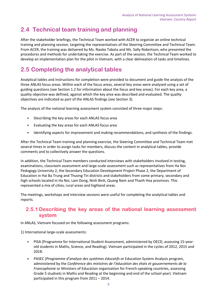### <span id="page-8-0"></span>**2.4 Technical team training and planning**

After the stakeholder briefings, the Technical Team worked with ACER to organize an online technical training and planning session, targeting the representatives of the Steering Committee and Technical Team. From ACER, the training was delivered by Ms. Naoko Tabata and Ms. Sally Robertson, who presented the procedures and methods for undertaking the exercise. As part of the session, the Technical Team worked to develop an implementation plan for the pilot in Vietnam, with a clear delineation of tasks and timelines.

### <span id="page-8-1"></span>**2.5 Completing the analytical tables**

Analytical tables and instructions for completion were provided to document and guide the analysis of the three ANLAS focus areas. Within each of the focus areas, several key areas were analyzed using a set of guiding questions (see Section 1.2 for information about the focus and key areas). For each key area, a quality objective was defined, against which the key area was described and evaluated. The quality objectives are indicated as part of the ANLAS findings (see Section 3).

The analysis of the national learning assessment system consisted of three major steps:

- Describing the key areas for each ANLAS focus area
- Evaluating the key areas for each ANLAS focus area
- Identifying aspects for improvement and making recommendations, and synthesis of the findings.

After the Technical Team training and planning exercise, the Steering Committee and Technical Team met several times in order to assign tasks for members, discuss the content in analytical tables, provide comments and to collectively answer the questions.

In addition, the Technical Team members conducted interviews with stakeholders involved in testing, examinations, classroom assessment and large-scale assessment such as representatives from Ha Noi Pedogogy University 2, the Secondary Education Development Project Phase 2, the Department of Education in Hai Ba Trung and Thuong Tin districts and stakeholders from some primary, secondary and high schools located in Ha Noi, Lam Dong, Ninh Binh, Quang Nam and Thanh Hoa provinces. This represented a mix of cities, rural areas and highland areas.

The meetings, workshops and interview sessions were useful for completing the analytical tables and reports.

### **2.5.1 Describing the key areas of the national learning assessment system**

In ANLAS, Vietnam focused on the following assessment programs:

1) International large-scale assessments:

- PISA (Programme for International Student Assessment, administered by OECD, assessing 15-yearold students in Maths, Science, and Reading). Vietnam participated in the cycles of 2012, 2015 and 2018.
- PASEC (*Programme d'analyse des systèmes éducatifs* or Education System Analysis program, administered by the *Conférence des ministres de l'éducation des états et gouvernements de la Francophonie* or Ministers of Education organization for French-speaking countries, assessing Grade 5 studnets in Maths and Reading at the beginning and end of the school year). Vietnam participated in this program from 2011 – 2014.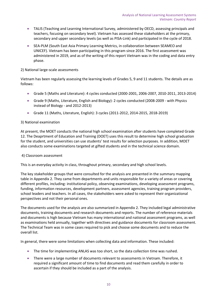- TALIS (Teaching and Learning International Survey, administered by OECD, assessing principals and teachers, focusing on secondary level). Vietnam has assessed these stakeholders at the primary, secondary and upper secondary levels (as well as PISA-Link) and participated in the cycle of 2018.
- SEA-PLM (South East Asia Primary Learning Metrics, in collaboration between SEAMEO and UNICEF). Vietnam has been participating in this program since 2016. The first assessment was administered in 2019, and as of the writing of this report Vietnam was in the coding and data entry phase.

#### 2) National large-scale assessments

Vietnam has been regularly assessing the learning levels of Grades 5, 9 and 11 students. The details are as follows:

- Grade 5 (Maths and Literature): 4 cycles conducted (2000-2001, 2006-2007, 2010-2011, 2013-2014)
- Grade 9 (Maths, Literature, English and Biology): 2 cycles conducted (2008-2009 with Physics instead of Biology - and 2012-2013)
- Grade 11 (Maths, Literature, English): 3 cycles (2011-2012, 2014-2015, 2018-2019)

#### 3) National examination

At present, the MOET conducts the national high school examination after students have completed Grade 12. The Deaprtment of Education and Training (DOET) uses this result to determine high school graduation for the student, and universities can use students' test results for selection purposes. In addition, MOET also conducts some examinations targeted at gifted students and in the technical science domain.

#### 4) Classroom assessment

This is an everyday activity in class, throughout primary, secondary and high school levels.

The key stakeholder groups that were consulted for the analysis are presented in the summary mapping table in Appendix 2. They came from departments and units responsible for a variety of areas or covering different profiles, including: institutional policy, observing examinations, developing assessment programs, funding, information resources, development partners, assessment agencies, training program providers, school leaders and teachers. In all cases, the stakeholders were asked to represent their organizational perspectives and not their personal ones.

The documents used for the analysis are also summarized in Appendix 2. They included legal administrative documents, training documents and research documents and reports. The number of reference materials and documents is high because Vietnam has many international and national assessment programs, as well as examinations held annually, together with directives and guidance documents for classroom assessment. The Technical Team was in some cases required to pick and choose some documents and to reduce the overall list.

In general, there were some limitations when collecting data and information. These included:

- The time for implementing ANLAS was too short, so the data collection time was rushed.
- There were a large number of documents relevant to assessments in Vietnam. Therefore, it required a significant amount of time to find documents and read them carefully in order to ascertain if they should be included as a part of the analysis.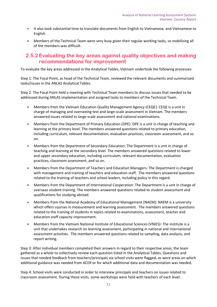- It also took substantial time to translate documents from English to Vietnamese, and Vietnamese to English.
- Members of the Technical Team were very busy given their regular working tasks, so mobilizing all of the members was difficult.

### **2.5.2Evaluating the key areas against quality objectives and making recommendations for improvement**

To evaluate the key areas addressed in the Analytical Tables, Vietnam undertook the following processes:

Step 1: The Focal Point, as head of the Technical Team, reviewed the relevant documents and summarized tasks/issues in the ANLAS Analytical Tables.

Step 2: The Focal Point held a meeting with Technical Team members to discuss issues that needed to be addressed during ANLAS implementation and assigned tasks to members of the Technical Team.

- Members from the Vietnam Education Quality Management Agency (CEQE): CEQE is a unit in charge of managing and overseeing test and large-scale assessment in Vietnam. The members answered issues related to large-scale assessment and national examinations.
- Members from the Department of Primary Education (DPE): DPE is a unit in charge of teaching and learning at the primary level. The members answered questions related to primary education, including curriculum, relevant documentation, evaluation practices, classroom assessment, and so on.
- Members from the Department of Secondary Education: The Department is a unit in charge of teaching and learning at the secondary level. The members answered questions related to lower and upper secondary education, including curriculum, relevant documentation, evaluation practices, classroom assessment, and so on.
- Members from the Department of Teachers and Education Managers: The Department is charged with management and training of teachers and education staff. The members answered questions related to the training of teachers and school leaders, including policy in this regard.
- Members from the Department of International Cooperation: The Department is a unit in charge of overseas student training. The members answered questions related to student assessment and qualifications for studying abroad.
- Members from the National Academy of Educational Management (NAEM): NAEM is a university which offers courses in measurement and learning assessment. The members answered questions related to the training of students in topics related to examinations, assessment, teacher and education staff capacity improvement.
- Members from the Vietnam National Institute of Educational Sciences (VNIES): The institute is a unit that undertakes research on learning assessment, participating in national and international assessment activities. The members answered questions related to sampling, data analysis, and report writing.

Step 3: After individual members completed their answers in regard to their respective areas, the team gathered as a whole to collectively review each question listed in the Analytical Tables. Questions and issues that needed feedback from teachers/principals via school visits were flagged, as were areas on which additional guidance was needed from ACER or for which additional data and documentation was needed.

Step 4: School visits were conducted in order to interview principals and teachers on issues related to classroom assessment. During these visits, some workshops were held with teachers of each level.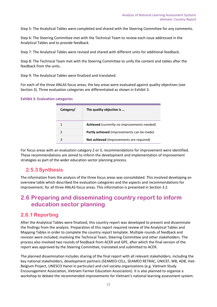Step 5: The Analytical Tables were completed and shared with the Steering Committee for any comments.

Step 6: The Steering Committee met with the Technical Team to review each issue addressed in the Analytical Tables and to provide feedback.

Step 7: The Analytical Tables were revised and shared with different units for additional feedback.

Step 8: The Technical Team met with the Steering Committee to unify the content and tables after the feedback from the units.

Step 9: The Analytical Tables were finalized and translated.

For each of the three ANLAS focus areas, the key areas were evaluated against quality objectives (see Section 3). Three evaluation categories are differentiated as shown in [Exhibit 3.](#page-11-1)

#### <span id="page-11-1"></span>**Exhibit 3: Evaluation categories**

| Category/ | The quality objective is                    |
|-----------|---------------------------------------------|
|           | Achieved (currently no improvements needed) |
| 2         | Partly achieved (improvements can be made)  |
|           | Not achieved (improvements are required)    |

For focus areas with an evaluation category 2 or 3, recommendations for improvement were identified. These recommendations are aimed to inform the development and implementation of improvement strategies as part of the wider education sector planning process.

### **2.5.3Synthesis**

The information from the analysis of the three focus areas was consolidated. This involved developing an overview table which described the evaluation categories and the aspects and recommendations for improvement, for all three ANLAS focus areas. This information is presented in Section 3.2.

### <span id="page-11-0"></span>**2.6 Preparing and disseminating country report to inform education sector planning**

### **2.6.1 Reporting**

After the Analytical Tables were finalized, this country report was developed to present and disseminate the findings from the analysis. Preparation of this report required review of the Analytical Tables and Mapping Tables in order to complete the country report template. Multiple rounds of feedback and revision were included, involving the Technical Team, Steering Committee and other stakeholders. The process also involved two rounds of feedback from ACER and GPE, after which the final version of the report was approved by the Steering Committee, translated and submitted to ACER.

The planned dissemination includes sharing of the final report with all relevant stakeholders, including the key national stakeholders, development partners (SEAMEO-CELL, SEAMEO RETRAC, UNICEF, WB, ADB, Viet-Belgium Project, UNESCO Hanoi in particular) and civil society organizations (e.g. Vietnam Study Encouragement Association, Vietnam Farmer Education Association). It is also planned to organize a workshop to debate the recommended improvements for Vietnam's national learning assessment system.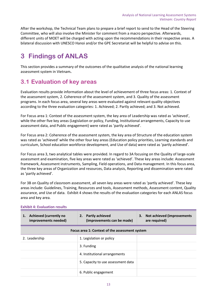After the workshop, the Technical Team plans to prepare a brief report to send to the Head of the Steering Committee, who will also involve the Minister for comment from a macro perspective. Afterwards, different units of MOET will be charged with acting upon the recommendations in their respective areas. A bilateral discussion with UNESCO Hanoi and/or the GPE Secretariat will be helpful to advise on this.

# <span id="page-12-0"></span>**3 Findings of ANLAS**

This section provides a summary of the outcomes of the qualitative analysis of the national learning assessment system in Vietnam**.**

### <span id="page-12-1"></span>**3.1 Evaluation of key areas**

Evaluation results provide information about the level of achievement of three focus areas: 1. Context of the assessment system, 2. Coherence of the assessment system, and 3. Quality of the assessment programs. In each focus area, several key areas were evaluated against relevant quality objectives according to the three evaluation categories: 1. Achieved; 2. Partly achieved; and 3. Not achieved.

For Focus area 1: Context of the assessment system, the key area of Leadership was rated as 'achieved', while the other five key areas (Legislation or policy, Funding, Institutional arrangements, Capacity to use assessment data, and Public engagement) were rated as 'partly achieved'.

For Focus area 2: Coherence of the assessment system, the key area of Structure of the education system was rated as 'achieved' while the other four key areas (Education policy priorities, Learning standards and curriculum, School education workforce development, and Use of data) were rated as 'partly achieved'.

For Focus area 3, two analytical tables were provided. In regard to 3A focusing on the Quality of large-scale assessment and examination, five key areas were rated as 'achieved'. These key areas include: Assessment framework, Assessment instruments, Sampling, Field operations, and Data management. In this focus area, the three key areas of Organization and resources, Data analysis, Reporting and dissemination were rated as 'partly achieved'.

For 3B on Quality of classroom assessment, all seven key areas were rated as 'partly achieved'. These key areas include: Guidelines, Training, Resources and tools, Assessment methods, Assessment content, Quality assurance, and Use of data. [Exhibit 4](#page-12-2) shows the results of the evaluation categories for each ANLAS focus area and key area.

| <b>Achieved (currently no</b><br>1.<br>improvements needed) | 2. Partly achieved<br>(improvements can be made) | 3. Not achieved (improvements<br>are required) |
|-------------------------------------------------------------|--------------------------------------------------|------------------------------------------------|
|                                                             | Focus area 1: Context of the assessment system   |                                                |
| 2. Leadership                                               | 1. Legislation or policy                         |                                                |
|                                                             | 3. Funding                                       |                                                |
|                                                             | 4. Institutional arrangements                    |                                                |
|                                                             | 5. Capacity to use assessment data               |                                                |
|                                                             | 6. Public engagement                             |                                                |

### <span id="page-12-2"></span>**Exhibit 4: Evaluation results**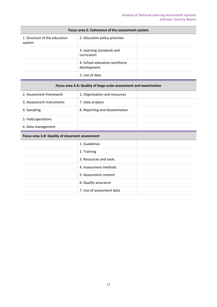| Focus area 2: Coherence of the assessment system |                                              |  |
|--------------------------------------------------|----------------------------------------------|--|
| 1. Structure of the education<br>system          | 2. Education policy priorities               |  |
|                                                  | 3. Learning standards and<br>curriculum      |  |
|                                                  | 4. School education workforce<br>development |  |
|                                                  | 5. Use of data                               |  |

### **Focus area 3.A: Quality of large-scale assessment and examination**

| 2. Assessment framework   | 1. Organization and resources  |  |
|---------------------------|--------------------------------|--|
| 3. Assessment instruments | 7. Data analysis               |  |
| 4. Sampling               | 8. Reporting and dissemination |  |
| 5. Field operations       |                                |  |
| 6. Data management        |                                |  |

#### **Focus area 3.B: Quality of classroom assessment**

| 1. Guidelines             |  |
|---------------------------|--|
| 2. Training               |  |
| 3. Resources and tools    |  |
| 4. Assessment methods     |  |
| 5. Assessment content     |  |
| 6. Quality assurance      |  |
| 7. Use of assessment data |  |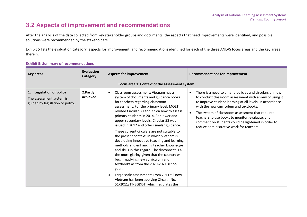### **3.2 Aspects of improvement and recommendations**

After the analysis of the data collected from key stakeholder groups and documents, the aspects that need improvements were identified, and possible solutions were recommended by the stakeholders.

[Exhibit 5](#page-14-1) lists the evaluation category, aspects for improvement, and recommendations identified for each of the three ANLAS focus areas and the key areas therein.

<span id="page-14-0"></span>

| <b>Key areas</b>                                                                                   | Evaluation<br>Category | <b>Aspects for improvement</b>                                                                                                                                                                                                                                                                                                                                                                                                                                                                                                                                                                                                                                                                                                                                                                                                                                                                | <b>Recommendations for improvement</b>                                                                                                                                                                                                                                                                                                                                                                                           |
|----------------------------------------------------------------------------------------------------|------------------------|-----------------------------------------------------------------------------------------------------------------------------------------------------------------------------------------------------------------------------------------------------------------------------------------------------------------------------------------------------------------------------------------------------------------------------------------------------------------------------------------------------------------------------------------------------------------------------------------------------------------------------------------------------------------------------------------------------------------------------------------------------------------------------------------------------------------------------------------------------------------------------------------------|----------------------------------------------------------------------------------------------------------------------------------------------------------------------------------------------------------------------------------------------------------------------------------------------------------------------------------------------------------------------------------------------------------------------------------|
|                                                                                                    |                        | Focus area 1: Context of the assessment system                                                                                                                                                                                                                                                                                                                                                                                                                                                                                                                                                                                                                                                                                                                                                                                                                                                |                                                                                                                                                                                                                                                                                                                                                                                                                                  |
| <b>Legislation or policy</b><br>1.<br>The assessment system is<br>guided by legislation or policy. | 2.Partly<br>achieved   | Classroom assessment: Vietnam has a<br>$\bullet$<br>system of documents and guidance books<br>for teachers regarding classroom<br>assessment. For the primary level, MOET<br>revised Circular 30 and 22 on how to assess<br>primary students in 2014. For lower and<br>upper secondary levels, Circular 58 was<br>issued in 2012 and offers similar guidance.<br>These current circulars are not suitable to<br>the present context, in which Vietnam is<br>developing innovative teaching and learning<br>methods and enhancing teacher knowledge<br>and skills in this regard. The disconnect is all<br>the more glaring given that the country will<br>begin applying new curriculum and<br>textbooks as from the 2020-2021 school<br>year.<br>Large scale assessment: From 2011 till now,<br>$\bullet$<br>Vietnam has been applying Circular No.<br>51/2011/TT-BGDĐT, which regulates the | There is a need to amend policies and circulars on how<br>to conduct classroom assessment with a view of using it<br>to improve student learning at all levels, in accordance<br>with the new curriculum and textbooks.<br>The system of classroom assessment that requires<br>teachers to use books to monitor, evaluate, and<br>comment on students could be lightened in order to<br>reduce administrative work for teachers. |

#### <span id="page-14-1"></span>**Exhibit 5: Summary of recommendations**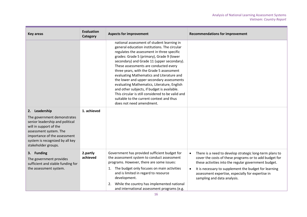| <b>Key areas</b>                                                                                                                                                                                                              | <b>Evaluation</b><br>Category | <b>Aspects for improvement</b>                                                                                                                                                                                                                                                                                                                                                                                                                                                                                                                                                                                                                | <b>Recommendations for improvement</b>                                                                                                                                                                                                                                                                                                           |
|-------------------------------------------------------------------------------------------------------------------------------------------------------------------------------------------------------------------------------|-------------------------------|-----------------------------------------------------------------------------------------------------------------------------------------------------------------------------------------------------------------------------------------------------------------------------------------------------------------------------------------------------------------------------------------------------------------------------------------------------------------------------------------------------------------------------------------------------------------------------------------------------------------------------------------------|--------------------------------------------------------------------------------------------------------------------------------------------------------------------------------------------------------------------------------------------------------------------------------------------------------------------------------------------------|
|                                                                                                                                                                                                                               |                               | national assessment of student learning in<br>general education institutions. The circular<br>regulates the assessment in three specific<br>grades: Grade 5 (primary), Grade 9 (lower<br>secondary) and Grade 11 (upper secondary).<br>These assessments are conducted every<br>three years, with the Grade 5 assessment<br>evaluating Mathematics and Literature and<br>the lower and upper secondary assessments<br>evaluating Mathematics, Literature, English<br>and other subjects, if budget is available.<br>This circular is still considered to be valid and<br>suitable to the current context and thus<br>does not need amendment. |                                                                                                                                                                                                                                                                                                                                                  |
| 2. Leadership<br>The government demonstrates<br>senior leadership and political<br>will in support of the<br>assessment system. The<br>importance of the assessment<br>system is recognized by all key<br>stakeholder groups. | 1. achieved                   |                                                                                                                                                                                                                                                                                                                                                                                                                                                                                                                                                                                                                                               |                                                                                                                                                                                                                                                                                                                                                  |
| 3. Funding<br>The government provides<br>sufficient and stable funding for<br>the assessment system.                                                                                                                          | 2.partly<br>achieved          | Government has provided sufficient budget for<br>the assessment system to conduct assessment<br>programs. However, there are some issues:<br>The budget only focuses on main activities<br>1.<br>and is limited in regard to resource<br>development.<br>While the country has implemented national<br>2.<br>and international assessment programs (e.g.                                                                                                                                                                                                                                                                                      | There is a need to develop strategic long-term plans to<br>$\bullet$<br>cover the costs of these programs or to add budget for<br>these activities into the regular government budget.<br>It is necessary to supplement the budget for learning<br>$\bullet$<br>assessment expertise, especially for expertise in<br>sampling and data analysis. |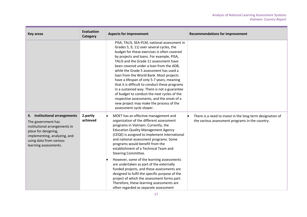| <b>Key areas</b>                                                                                                                                                                                 | <b>Evaluation</b><br>Category | <b>Aspects for improvement</b>                                                                                                                                                                                                                                                                                                                                                                                                                                                                                                                                                                                                                                                                    | <b>Recommendations for improvement</b>                                                                       |
|--------------------------------------------------------------------------------------------------------------------------------------------------------------------------------------------------|-------------------------------|---------------------------------------------------------------------------------------------------------------------------------------------------------------------------------------------------------------------------------------------------------------------------------------------------------------------------------------------------------------------------------------------------------------------------------------------------------------------------------------------------------------------------------------------------------------------------------------------------------------------------------------------------------------------------------------------------|--------------------------------------------------------------------------------------------------------------|
|                                                                                                                                                                                                  |                               | PISA, TALIS, SEA-PLM, national assessment in<br>Grades 5, 9, 11) over several cycles, the<br>budget for these exercises is often covered<br>by projects and loans. For example, PISA,<br>TALIS and the Grade 11 assessment have<br>been covered under a loan from the ADB,<br>while the Grade 5 assessment has used a<br>loan from the World Bank. Most projects<br>have a lifespan of only 5-7 years, meaning<br>that it is difficult to conduct these programs<br>in a sustained way. There is not a guarantee<br>of budget to conduct the next cycles of the<br>respective assessments, and the onset of a<br>new project may make the process of the<br>assessment cycle slower.              |                                                                                                              |
| 4. Institutional arrangements<br>The government has<br>institutional arrangements in<br>place for designing,<br>implementing, analyzing, and<br>using data from various<br>learning assessments. | 2.partly<br>achieved          | MOET has an effective management and<br>organization of the different assessment<br>programs in Vietnam. Currently, the<br><b>Education Quality Management Agency</b><br>(CEQE) is assigned to implement international<br>and national assessment programs. Some<br>programs would benefit from the<br>establishment of a Technical Team and<br>Steering Committee.<br>However, some of the learning assessments<br>are undertaken as part of the externally<br>funded projects, and these assessments are<br>designed to fulfil the specific purpose of the<br>project of which the assessment forms part.<br>Therefore, these learning assessments are<br>often regarded as separate assessment | There is a need to invest in the long-term designation of<br>the various assessment programs in the country. |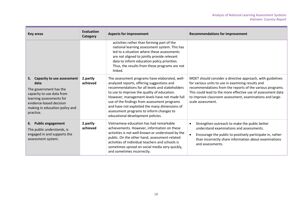| <b>Key areas</b>                                                                                                                                                                                             | Evaluation<br>Category | <b>Aspects for improvement</b>                                                                                                                                                                                                                                                                                                                                                                                                    | <b>Recommendations for improvement</b>                                                                                                                                                                                                                                                                                        |
|--------------------------------------------------------------------------------------------------------------------------------------------------------------------------------------------------------------|------------------------|-----------------------------------------------------------------------------------------------------------------------------------------------------------------------------------------------------------------------------------------------------------------------------------------------------------------------------------------------------------------------------------------------------------------------------------|-------------------------------------------------------------------------------------------------------------------------------------------------------------------------------------------------------------------------------------------------------------------------------------------------------------------------------|
|                                                                                                                                                                                                              |                        | activities rather than forming part of the<br>national learning assessment system. This has<br>led to a situation where these assessments<br>are not aligned to jointly provide relevant<br>data to inform education policy priorities.<br>Thus, the results from these programs are not<br>linked.                                                                                                                               |                                                                                                                                                                                                                                                                                                                               |
| <b>Capacity to use assessment</b><br>5.<br>data<br>The government has the<br>capacity to use data from<br>learning assessments for<br>evidence-based decision<br>making in education policy and<br>practice. | 2.partly<br>achieved   | The assessment programs have elaborated, well-<br>analyzed reports, offering suggestions and<br>recommendations for all levels and stakeholders<br>to use to improve the quality of education.<br>However, management levels have not made full<br>use of the findings from assessment programs<br>and have not exploited the many dimensions of<br>assessment programs to inform changes to<br>educational development policies. | MOET should consider a directive approach, with guidelines<br>for various units to use in examining results and<br>recommendations from the reports of the various programs.<br>This could lead to the more effective use of assessment data<br>to improve classroom assessment, examinations and large-<br>scale assessment. |
| 6. Public engagement<br>The public understands, is<br>engaged in and supports the<br>assessment system.                                                                                                      | 2.partly<br>achieved   | Vietnamese education has had remarkable<br>achievements. However, information on these<br>activities is not well-known or understood by the<br>public. On the other hand, assessment-related<br>activities of individual teachers and schools is<br>sometimes spread on social media very quickly,<br>and sometimes incorrectly.                                                                                                  | Strengthen outreach to make the public better<br>understand examinations and assessments.<br>Encourage the public to positively participate in, rather<br>than incorrectly share information about examinations<br>and assessments.                                                                                           |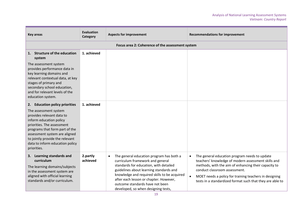| <b>Key areas</b>                                                                                                                                                                                                                                                                                      | <b>Evaluation</b><br>Category | <b>Aspects for improvement</b>                                                                                                                                                                                                                                                                                                                     | <b>Recommendations for improvement</b>                                                                                                                                                                                                                                                                                            |
|-------------------------------------------------------------------------------------------------------------------------------------------------------------------------------------------------------------------------------------------------------------------------------------------------------|-------------------------------|----------------------------------------------------------------------------------------------------------------------------------------------------------------------------------------------------------------------------------------------------------------------------------------------------------------------------------------------------|-----------------------------------------------------------------------------------------------------------------------------------------------------------------------------------------------------------------------------------------------------------------------------------------------------------------------------------|
|                                                                                                                                                                                                                                                                                                       |                               | Focus area 2: Coherence of the assessment system                                                                                                                                                                                                                                                                                                   |                                                                                                                                                                                                                                                                                                                                   |
| 1. Structure of the education<br>system                                                                                                                                                                                                                                                               | 1. achieved                   |                                                                                                                                                                                                                                                                                                                                                    |                                                                                                                                                                                                                                                                                                                                   |
| The assessment system<br>provides performance data in<br>key learning domains and<br>relevant contextual data, at key<br>stages of primary and<br>secondary school education,<br>and for relevant levels of the<br>education system.                                                                  |                               |                                                                                                                                                                                                                                                                                                                                                    |                                                                                                                                                                                                                                                                                                                                   |
| 2. Education policy priorities<br>The assessment system<br>provides relevant data to<br>inform education policy<br>priorities. The assessment<br>programs that form part of the<br>assessment system are aligned<br>to jointly provide the relevant<br>data to inform education policy<br>priorities. | 1. achieved                   |                                                                                                                                                                                                                                                                                                                                                    |                                                                                                                                                                                                                                                                                                                                   |
| 3. Learning standards and<br>curriculum<br>The learning domains/subjects<br>in the assessment system are<br>aligned with official learning<br>standards and/or curriculum.                                                                                                                            | 2.partly<br>achieved          | The general education program has both a<br>$\bullet$<br>curriculum framework and general<br>standards for education, with detailed<br>guidelines about learning standards and<br>knowledge and required skills to be acquired<br>after each lesson or chapter. However,<br>outcome standards have not been<br>developed, so when designing tests, | The general education program needs to update<br>$\bullet$<br>teachers' knowledge of modern assessment skills and<br>methods, with the aim of enhancing their capacity to<br>conduct classroom assessment.<br>MOET needs a policy for training teachers in designing<br>tests in a standardized format such that they are able to |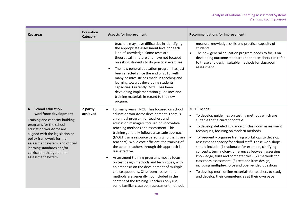| Key areas                                                                                                                                                                                                                                                                                                              | <b>Evaluation</b><br>Category | <b>Aspects for improvement</b>                                                                                                                                                                                                                                                                                                                                                                                                                                                                                                                                                                                                                                                                                                                                           | <b>Recommendations for improvement</b>                                                                                                                                                                                                                                                                                                                                                                                                                                                                                                                                                                                                                                                                                   |
|------------------------------------------------------------------------------------------------------------------------------------------------------------------------------------------------------------------------------------------------------------------------------------------------------------------------|-------------------------------|--------------------------------------------------------------------------------------------------------------------------------------------------------------------------------------------------------------------------------------------------------------------------------------------------------------------------------------------------------------------------------------------------------------------------------------------------------------------------------------------------------------------------------------------------------------------------------------------------------------------------------------------------------------------------------------------------------------------------------------------------------------------------|--------------------------------------------------------------------------------------------------------------------------------------------------------------------------------------------------------------------------------------------------------------------------------------------------------------------------------------------------------------------------------------------------------------------------------------------------------------------------------------------------------------------------------------------------------------------------------------------------------------------------------------------------------------------------------------------------------------------------|
|                                                                                                                                                                                                                                                                                                                        |                               | teachers may have difficulties in identifying<br>the appropriate assessment level for each<br>kind of knowledge. Some tests are<br>theoretical in nature and have not focused<br>on asking students to do practical exercises.<br>The new general education program has just<br>$\bullet$<br>been enacted since the end of 2018, with<br>many positive strides made in teaching and<br>learning towards developing students'<br>capacities. Currently, MOET has been<br>developing implementation guidelines and<br>training materials in regard to the new<br>progam.                                                                                                                                                                                                   | measure knowledge, skills and practical capacity of<br>students.<br>The new general education program needs to focus on<br>developing outcome standards so that teachers can refer<br>to these and design suitable methods for classroom<br>assessment.                                                                                                                                                                                                                                                                                                                                                                                                                                                                  |
| 4. School education<br>workforce development<br>Training and capacity-building<br>programs for the school<br>education workforce are<br>aligned with the legislation or<br>policy framework for the<br>assessment system, and official<br>learning standards and/or<br>curriculum that guide the<br>assessment system. | 2.partly<br>achieved          | For many years, MOET has focused on school<br>education workforce development. There is<br>an annual program for teachers and<br>education managers focused on innovative<br>teaching methods and assessment. This<br>training generally follows a cascade approach<br>(MOET trains resource persons who then train<br>teachers). While cost-efficient, the training of<br>the actual teachers through this approach is<br>less effective.<br>Assessment training programs mostly focus<br>on test design methods and techniques, with<br>an emphasis on the development of multiple-<br>choice questions. Classroom assessment<br>methods are generally not included in the<br>content of the training. Teachers only use<br>some familiar classroom assessment methods | MOET needs:<br>To develop guidelines on testing methods which are<br>suitable to the current context<br>To develop detailed guidance on classroom assessment<br>techniques, focusing on modern methods<br>To frequently organize training workshops to develop<br>assessment capacity for school staff. These workshops<br>should include: (1) rationale (for example, clarifying<br>concepts, terminology, differences between assessing<br>knowledge, skills and competencies); (2) methods for<br>classroom assessment; (3) test and item design,<br>including multiple-choice and open-ended questions<br>To develop more online materials for teachers to study<br>and develop their competencies at their own pace |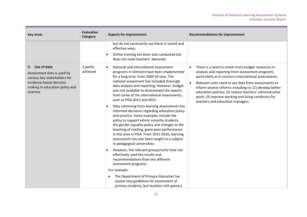| <b>Key areas</b>                                                                                                                                      | Evaluation<br>Category | <b>Aspects for improvement</b>                                                                                                                                                                                                                                                                                                                                                                                                                                                                                                                                                                                                                                                                                                                                                                                                                                                                                                         | <b>Recommendations for improvement</b>                                                                                                                                                                                                                                                                                                                                                                                                   |
|-------------------------------------------------------------------------------------------------------------------------------------------------------|------------------------|----------------------------------------------------------------------------------------------------------------------------------------------------------------------------------------------------------------------------------------------------------------------------------------------------------------------------------------------------------------------------------------------------------------------------------------------------------------------------------------------------------------------------------------------------------------------------------------------------------------------------------------------------------------------------------------------------------------------------------------------------------------------------------------------------------------------------------------------------------------------------------------------------------------------------------------|------------------------------------------------------------------------------------------------------------------------------------------------------------------------------------------------------------------------------------------------------------------------------------------------------------------------------------------------------------------------------------------------------------------------------------------|
|                                                                                                                                                       |                        | but do not necessarily use these in varied and<br>effective ways.                                                                                                                                                                                                                                                                                                                                                                                                                                                                                                                                                                                                                                                                                                                                                                                                                                                                      |                                                                                                                                                                                                                                                                                                                                                                                                                                          |
|                                                                                                                                                       |                        | Online training has been also conducted but<br>does not meet teachers' demands.                                                                                                                                                                                                                                                                                                                                                                                                                                                                                                                                                                                                                                                                                                                                                                                                                                                        |                                                                                                                                                                                                                                                                                                                                                                                                                                          |
| 5. Use of data<br>Assessment data is used by<br>various key stakeholders for<br>evidence-based decision<br>making in education policy and<br>practice | 2.partly<br>achieved   | National and international assessment<br>programs in Vietnam have been implemented<br>for a long time, from 2000 till now. The<br>national assessment has included thorough<br>data analysis and reporting. However, budget<br>was not available to disseminate the reports<br>from some of the international assessments,<br>such as PISA 2012 and 2015.<br>Data stemming from learning assessments has<br>informed decisions regarding education policy<br>and practice. Some examples include the<br>policy to support ethnic minority students,<br>the gender equality policy and changes to the<br>teaching of reading, given poor performance<br>in this area in PISA. From 2015-2016, learning<br>assessment has also been taught as a subject<br>in pedagogical universities.<br>However, the relevant groups/units have not<br>effectively used the results and<br>recommendations from the different<br>assessment programs. | There is a need to invest more budget resources in<br>analysis and reporting from assessment programs,<br>particularly as it concerns international assessments.<br>Relevant units need to use data from assessments to<br>inform several reforms including to: (1) develop better<br>education policies; (2) reduce teachers' administrative<br>work; (3) improve working and living conditions for<br>teachers and education managers. |
|                                                                                                                                                       |                        | For example:                                                                                                                                                                                                                                                                                                                                                                                                                                                                                                                                                                                                                                                                                                                                                                                                                                                                                                                           |                                                                                                                                                                                                                                                                                                                                                                                                                                          |
|                                                                                                                                                       |                        | The Department of Primary Education has<br>issued new guidelines for assessment of<br>primary students, but teachers still spend a                                                                                                                                                                                                                                                                                                                                                                                                                                                                                                                                                                                                                                                                                                                                                                                                     |                                                                                                                                                                                                                                                                                                                                                                                                                                          |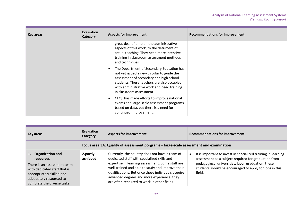| Key areas | <b>Evaluation</b><br>Category | <b>Aspects for improvement</b>                                                                                                                                                                                                                             | <b>Recommendations for improvement</b> |
|-----------|-------------------------------|------------------------------------------------------------------------------------------------------------------------------------------------------------------------------------------------------------------------------------------------------------|----------------------------------------|
|           |                               | great deal of time on the administrative<br>aspects of this work, to the detriment of<br>actual teaching. They need more intensive<br>training in classroom assessment methods<br>and techniques.                                                          |                                        |
|           |                               | The Department of Secondary Education has<br>not yet issued a new circular to guide the<br>assessment of secondary and high school<br>students. These teachers are also occupied<br>with administrative work and need training<br>in classroom assessment. |                                        |
|           |                               | CEQE has made efforts to improve national<br>exams and large-scale assessment programs<br>based on data, but there is a need for<br>continued improvement.                                                                                                 |                                        |

| Key areas                                                                                                                                                                          | Evaluation<br>Category | <b>Aspects for improvement</b>                                                                                                                                                                                                                                                                                                                            | <b>Recommendations for improvement</b>                                                                                                                                                                                                          |
|------------------------------------------------------------------------------------------------------------------------------------------------------------------------------------|------------------------|-----------------------------------------------------------------------------------------------------------------------------------------------------------------------------------------------------------------------------------------------------------------------------------------------------------------------------------------------------------|-------------------------------------------------------------------------------------------------------------------------------------------------------------------------------------------------------------------------------------------------|
|                                                                                                                                                                                    |                        | Focus area 3A: Quality of assessment porgrams - large-scale assessment and examination                                                                                                                                                                                                                                                                    |                                                                                                                                                                                                                                                 |
| Organization and<br>resources<br>There is an assessment team<br>with dedicated staff that is<br>appropriately skilled and<br>adequately resourced to<br>complete the diverse tasks | 2.partly<br>achieved   | Currently, the country does not have a team of<br>dedicated staff with specialized skills and<br>expertise in learning assessment. Some staff are<br>well-trained and able to study and improve their<br>qualifications. But once these individuals acquire<br>advanced degrees and more experience, they<br>are often recruited to work in other fields. | It is important to invest in specialized training in learning<br>assessment as a subject required for graduation from<br>pedagogigcal universities. Upon graduation, these<br>students should be encouraged to apply for jobs in this<br>field. |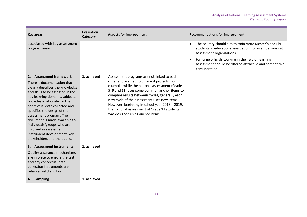| <b>Key areas</b>                                                                                                                                                                                                                                                                                                                                                                                                                                   | <b>Evaluation</b><br>Category | <b>Aspects for improvement</b>                                                                                                                                                                                                                                                                                                                                                                                                        | <b>Recommendations for improvement</b>                                                                                                                                                                                                                                                          |
|----------------------------------------------------------------------------------------------------------------------------------------------------------------------------------------------------------------------------------------------------------------------------------------------------------------------------------------------------------------------------------------------------------------------------------------------------|-------------------------------|---------------------------------------------------------------------------------------------------------------------------------------------------------------------------------------------------------------------------------------------------------------------------------------------------------------------------------------------------------------------------------------------------------------------------------------|-------------------------------------------------------------------------------------------------------------------------------------------------------------------------------------------------------------------------------------------------------------------------------------------------|
| associated with key assessment<br>program areas.                                                                                                                                                                                                                                                                                                                                                                                                   |                               |                                                                                                                                                                                                                                                                                                                                                                                                                                       | The country should aim to train more Master's and PhD<br>$\bullet$<br>students in educational evaluation, for eventual work at<br>assessment organizations.<br>Full-time officials working in the field of learning<br>assessment should be offered attractive and competitive<br>remuneration. |
| 2. Assessment framework<br>There is documentation that<br>clearly describes the knowledge<br>and skills to be assessed in the<br>key learning domains/subjects,<br>provides a rationale for the<br>contextual data collected and<br>specifies the design of the<br>assessment program. The<br>document is made available to<br>individuals/groups who are<br>involved in assessment<br>instrument development, key<br>stakeholders and the public. | 1. achieved                   | Assessment programs are not linked to each<br>other and are tied to different projects. For<br>example, while the national assessment (Grades<br>5, 9 and 11) uses some common anchor items to<br>compare results between cycles, generally each<br>new cycle of the assessment uses new items.<br>However, beginning in school year 2018 - 2019,<br>the national assessment of Grade 11 students<br>was designed using anchor items. |                                                                                                                                                                                                                                                                                                 |
| 3. Assessment instruments<br>Quality assurance mechanisms<br>are in place to ensure the test<br>and any contextual data<br>collection instruments are<br>reliable, valid and fair.                                                                                                                                                                                                                                                                 | 1. achieved                   |                                                                                                                                                                                                                                                                                                                                                                                                                                       |                                                                                                                                                                                                                                                                                                 |
| 4. Sampling                                                                                                                                                                                                                                                                                                                                                                                                                                        | 1. achieved                   |                                                                                                                                                                                                                                                                                                                                                                                                                                       |                                                                                                                                                                                                                                                                                                 |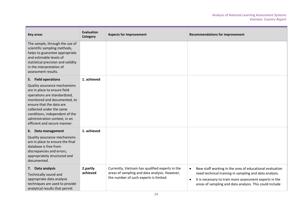| <b>Key areas</b>                                                                                                                                                                                                                                                                                               | <b>Evaluation</b><br>Category | <b>Aspects for improvement</b>                                                                                                             | <b>Recommendations for improvement</b>                                                                                                                                                                                                                            |
|----------------------------------------------------------------------------------------------------------------------------------------------------------------------------------------------------------------------------------------------------------------------------------------------------------------|-------------------------------|--------------------------------------------------------------------------------------------------------------------------------------------|-------------------------------------------------------------------------------------------------------------------------------------------------------------------------------------------------------------------------------------------------------------------|
| The sample, through the use of<br>scientific sampling methods,<br>helps to guarantee appropriate<br>and estimable levels of<br>statistical precision and validity<br>in the interpretation of<br>assessment results.                                                                                           |                               |                                                                                                                                            |                                                                                                                                                                                                                                                                   |
| 5. Field operations<br>Quality assurance mechanisms<br>are in place to ensure field<br>operations are standardized,<br>monitored and documented, to<br>ensure that the data are<br>collected under the same<br>conditions, independent of the<br>administration context, in an<br>efficient and secure manner. | 1. achieved                   |                                                                                                                                            |                                                                                                                                                                                                                                                                   |
| 6. Data management<br>Quality assurance mechanisms<br>are in place to ensure the final<br>database is free from<br>discrepancies and errors,<br>appropriately structured and<br>documented.                                                                                                                    | 1. achieved                   |                                                                                                                                            |                                                                                                                                                                                                                                                                   |
| 7. Data analysis<br>Technically sound and<br>appropriate data analysis<br>techniques are used to provide<br>analytical results that permit                                                                                                                                                                     | 2.partly<br>achieved          | Currently, Vietnam has qualified experts in the<br>areas of sampling and data analysis. However,<br>the number of such experts is limited. | New staff working in the area of educational evaluation<br>$\bullet$<br>need technical training in sampling and data analysis.<br>It is necessary to train more assessment experts in the<br>$\bullet$<br>areas of sampling and data analysis. This could include |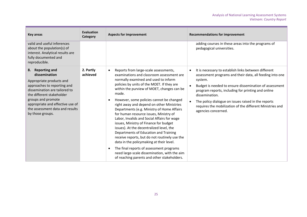| <b>Key areas</b>                                                                                                                                                                                                                                                                      | <b>Evaluation</b><br>Category | <b>Aspects for improvement</b>                                                                                                                                                                                                                                                                                                                                                                                                                                                                                                                                                                                                                                                                                                                                                                                                                      | <b>Recommendations for improvement</b>                                                                                                                                                                                                                                                                                                                                                                   |
|---------------------------------------------------------------------------------------------------------------------------------------------------------------------------------------------------------------------------------------------------------------------------------------|-------------------------------|-----------------------------------------------------------------------------------------------------------------------------------------------------------------------------------------------------------------------------------------------------------------------------------------------------------------------------------------------------------------------------------------------------------------------------------------------------------------------------------------------------------------------------------------------------------------------------------------------------------------------------------------------------------------------------------------------------------------------------------------------------------------------------------------------------------------------------------------------------|----------------------------------------------------------------------------------------------------------------------------------------------------------------------------------------------------------------------------------------------------------------------------------------------------------------------------------------------------------------------------------------------------------|
| valid and useful inferences<br>about the population(s) of<br>interest. Analytical results are<br>fully documented and<br>reproducible.                                                                                                                                                |                               |                                                                                                                                                                                                                                                                                                                                                                                                                                                                                                                                                                                                                                                                                                                                                                                                                                                     | adding courses in these areas into the programs of<br>pedagogical universities.                                                                                                                                                                                                                                                                                                                          |
| <b>Reporting and</b><br>8.<br>dissemination<br>Appropriate products and<br>approaches to reporting and<br>dissemination are tailored to<br>the different stakeholder<br>groups and promote<br>appropriate and effective use of<br>the assessment data and results<br>by those groups. | 2. Partly<br>achieved         | Reports from large-scale assessments,<br>$\bullet$<br>examinations and classroom assessment are<br>normally examined and used to inform<br>policies by units of the MOET. If they are<br>within the purview of MOET, changes can be<br>made.<br>However, some policies cannot be changed<br>right away and depend on other Ministries<br>Departments (e.g. Ministry of Home Affairs<br>for human resource issues, Ministry of<br>Labor, Invalids and Social Affairs for wage<br>issues, Ministry of Finance for budget<br>issues). At the decentralized level, the<br>Departments of Education and Training<br>receive reports, but do not routinely use the<br>data in the policymaking at their level.<br>The final reports of assessment programs<br>need large-scale dissemination, with the aim<br>of reaching parents and other stakeholders. | It is necessary to establish links between different<br>assessment programs and their data, all feeding into one<br>system.<br>Budget is needed to ensure dissemination of assessment<br>program reports, including for printing and online<br>dissemination.<br>The policy dialogue on issues raised in the reports<br>requires the mobilization of the different Ministries and<br>agencies concerned. |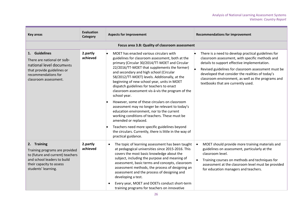| <b>Key areas</b>                                                                                                                                                    | <b>Evaluation</b><br>Category | <b>Aspects for improvement</b>                                                                                                                                                                                                                                                                                                                                                                                                                                                                                                                                                                                                                                                                                                        | <b>Recommendations for improvement</b>                                                                                                                                                                                                                                                                                                                        |
|---------------------------------------------------------------------------------------------------------------------------------------------------------------------|-------------------------------|---------------------------------------------------------------------------------------------------------------------------------------------------------------------------------------------------------------------------------------------------------------------------------------------------------------------------------------------------------------------------------------------------------------------------------------------------------------------------------------------------------------------------------------------------------------------------------------------------------------------------------------------------------------------------------------------------------------------------------------|---------------------------------------------------------------------------------------------------------------------------------------------------------------------------------------------------------------------------------------------------------------------------------------------------------------------------------------------------------------|
|                                                                                                                                                                     |                               | Focus area 3.B: Quality of classroom assessment                                                                                                                                                                                                                                                                                                                                                                                                                                                                                                                                                                                                                                                                                       |                                                                                                                                                                                                                                                                                                                                                               |
| 1. Guidelines<br>There are national or sub-<br>national level documents<br>that provide guidelines or<br>recommendations for<br>classroom assessment.               | 2.partly<br>achieved          | MOET has enacted various circulars with<br>guidelines for classroom assessment, both at the<br>primary (Circular 30/2014/TT-MOET and Circular<br>22/2016/TT-MOET that supplements the former)<br>and secondary and high school (Circular<br>58/2012/TT-MOET) levels. Additionally, at the<br>beginning of new school year, units in MOET<br>dispatch guidelines for teachers to enact<br>classroom assessment vis-à-vis the program of the<br>school year.<br>However, some of these circulars on classroom<br>assessment may no longer be relevant to today's<br>education environment, nor to the current<br>working conditions of teachers. These must be<br>amended or replaced.<br>Teachers need more specific guidelines beyond | There is a need to develop practical guidelines for<br>classroom assessment, with specific methods and<br>details to support effective implementation.<br>Revised guidelines for classroom assessment must be<br>developed that consider the realities of today's<br>classroom environment, as well as the programs and<br>textbooks that are currently used. |
|                                                                                                                                                                     |                               | the circulars. Currently, there is little in the way of<br>practical guidance.                                                                                                                                                                                                                                                                                                                                                                                                                                                                                                                                                                                                                                                        |                                                                                                                                                                                                                                                                                                                                                               |
| 2. Training<br>Training programs are provided<br>to (future and current) teachers<br>and school leaders to build<br>their capacity to assess<br>students' learning. | 2.partly<br>achieved          | The topic of learning assessment has been taught<br>$\bullet$<br>at pedagogical universities since 2015-2016. This<br>covers the most basic knowledge about the<br>subject, including the purpose and meaning of<br>assessment, basic terms and concepts, classroom<br>assessment methods, the process of designing an<br>assessment and the process of designing and<br>developing a test.<br>Every year, MOET and DOETs conduct short-term<br>training programs for teachers on innovative                                                                                                                                                                                                                                          | MOET should provide more training materials and<br>$\bullet$<br>guidelines on assessment, particularly at the<br>classroom level.<br>Training courses on methods and techniques for<br>assessment at the classroom level must be provided<br>for education managers and teachers.                                                                             |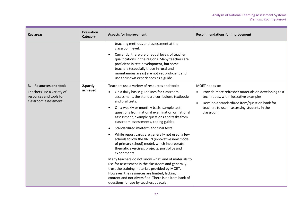| <b>Key areas</b>                                                                                        | <b>Evaluation</b><br>Category | <b>Aspects for improvement</b>                                                                                                                                                                                                                                                                                                                                                                                                                                                                                                                                                                                                                                                                                                                                                                                                                                                                                                                                                                 | <b>Recommendations for improvement</b>                                                                                                                                                                                        |
|---------------------------------------------------------------------------------------------------------|-------------------------------|------------------------------------------------------------------------------------------------------------------------------------------------------------------------------------------------------------------------------------------------------------------------------------------------------------------------------------------------------------------------------------------------------------------------------------------------------------------------------------------------------------------------------------------------------------------------------------------------------------------------------------------------------------------------------------------------------------------------------------------------------------------------------------------------------------------------------------------------------------------------------------------------------------------------------------------------------------------------------------------------|-------------------------------------------------------------------------------------------------------------------------------------------------------------------------------------------------------------------------------|
|                                                                                                         |                               | teaching methods and assessment at the<br>classroom level.<br>Currently, there are unequal levels of teacher<br>$\bullet$<br>qualifications in the regions. Many teachers are<br>proficient in test development, but some<br>teachers (especially those in rural and<br>mountainous areas) are not yet proficient and<br>use their own experiences as a guide.                                                                                                                                                                                                                                                                                                                                                                                                                                                                                                                                                                                                                                 |                                                                                                                                                                                                                               |
| 3. Resources and tools<br>Teachers use a variety of<br>resources and tools for<br>classroom assessment. | 2.partly<br>achieved          | Teachers use a variety of resources and tools:<br>On a daily basis: guidelines for classroom<br>$\bullet$<br>assessment, the standard curriculum, textbooks<br>and oral tests.<br>On a weekly or monthly basis: sample test<br>$\bullet$<br>questions from national examination or national<br>assessment, example questions and tasks from<br>classroom assessments, coding guides<br>Standardized midterm and final tests<br>$\bullet$<br>While report cards are generally not used, a few<br>$\bullet$<br>schools follow the VNEN (innovative new model<br>of primary school) model, which incorporate<br>thematic exercises, projects, portfolios and<br>experiments.<br>Many teachers do not know what kind of materials to<br>use for assessment in the classroom and generally.<br>trust the training materials provided by MOET.<br>However, the resources are limited, lacking in<br>content and not diversified. There is no item bank of<br>questions for use by teachers at scale. | MOET needs to:<br>Provide more refresher materials on developing test<br>techniques, with illustrative examples<br>Develop a standardized item/question bank for<br>teachers to use in assessing students in the<br>classroom |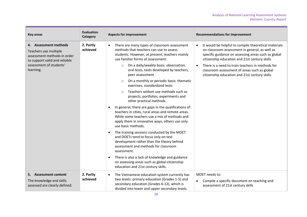| <b>Key areas</b>                                                                                                                                       | <b>Evaluation</b><br>Category | <b>Aspects for improvement</b>                                                                                                                                                                                                                                                 | <b>Recommendations for improvement</b>                                                                                                                                                                                                                                                                              |  |
|--------------------------------------------------------------------------------------------------------------------------------------------------------|-------------------------------|--------------------------------------------------------------------------------------------------------------------------------------------------------------------------------------------------------------------------------------------------------------------------------|---------------------------------------------------------------------------------------------------------------------------------------------------------------------------------------------------------------------------------------------------------------------------------------------------------------------|--|
| 4. Assessment methods<br>Teachers use multiple<br>assessment methods in order<br>to support valid and reliable<br>assessment of students'<br>learning. | 2. Partly<br>achieved         | There are many types of classroom assessment<br>methods that teachers can use to assess<br>students. However, at present, teachers mainly<br>use familiar forms of assessment:<br>On a daily/weekly basis: observation,<br>$\circ$<br>oral tests, tests developed by teachers, | It would be helpful to compile theoretical materials<br>on classroom assessment in general, as well as<br>specific guidance on assessing areas such as global<br>citizenship education and 21st century skills.<br>There is a need to train teachers in methods for<br>classroom assessment of areas such as global |  |
|                                                                                                                                                        |                               | peer assessment<br>On a monthly or periodic basis: thematic<br>$\circ$<br>exercises, standardized tests                                                                                                                                                                        | citizenship education and 21st century skills.                                                                                                                                                                                                                                                                      |  |
|                                                                                                                                                        |                               |                                                                                                                                                                                                                                                                                | Teachers seldom use methods such as<br>projects, portfolios, experiments and<br>other practical methods.                                                                                                                                                                                                            |  |
|                                                                                                                                                        |                               | In general, there are gaps in the qualifications of<br>teachers in cities, rural areas and remote areas.<br>While some teachers use a mix of methods and<br>apply them in innovative ways, others use only<br>use basic methods.                                               |                                                                                                                                                                                                                                                                                                                     |  |
|                                                                                                                                                        |                               | The training sessions conducted by the MOET<br>and DOETs tend to focus only on test<br>development rather than the theory behind<br>assessment and methods for classroom<br>assessment.                                                                                        |                                                                                                                                                                                                                                                                                                                     |  |
|                                                                                                                                                        |                               | There is also a lack of knowledge and guidance<br>$\bullet$<br>on assessing areas such as global citizenship<br>education and 21st century skills.                                                                                                                             |                                                                                                                                                                                                                                                                                                                     |  |
| 5. Assessment content<br>The knowledge and skills<br>assessed are clearly defined.                                                                     | 2. Partly<br>achieved         | The Vietnamese education system currently has<br>$\bullet$<br>two levels: primary education (Grades 1-5) and<br>secondary education (Grades 6-12), which is<br>divided into lower and upper secondary levels.                                                                  | MOET needs to:<br>Compile a specific document on teaching and<br>$\bullet$<br>assessment of 21st century skills                                                                                                                                                                                                     |  |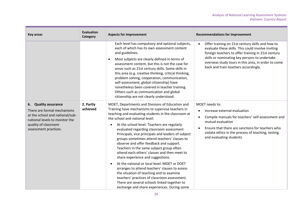| <b>Key areas</b>                                                                                                                                                          | <b>Evaluation</b><br>Category | <b>Aspects for improvement</b>                                                                                                                                                                                                                                                                                                                                                                                                                                                                                                                                                                                                                                                                                                                                                                                                                                                                      | <b>Recommendations for improvement</b>                                                                                                                                                                                                                                                                                    |
|---------------------------------------------------------------------------------------------------------------------------------------------------------------------------|-------------------------------|-----------------------------------------------------------------------------------------------------------------------------------------------------------------------------------------------------------------------------------------------------------------------------------------------------------------------------------------------------------------------------------------------------------------------------------------------------------------------------------------------------------------------------------------------------------------------------------------------------------------------------------------------------------------------------------------------------------------------------------------------------------------------------------------------------------------------------------------------------------------------------------------------------|---------------------------------------------------------------------------------------------------------------------------------------------------------------------------------------------------------------------------------------------------------------------------------------------------------------------------|
|                                                                                                                                                                           |                               | Each level has compulsory and optional subjects,<br>each of which has its own assessment content<br>and guidelines.<br>Most subjects are clearly defined in terms of<br>$\bullet$<br>assessment content, but this is not the case for<br>areas such as 21st century skills. Some skills in<br>this area (e.g. creative thinking, critical thinking,<br>problem solving, cooperation, communication,<br>self-assessment, global citizenship) have<br>nonetheless been covered in teacher training.<br>Others such as communication and global<br>citizenship are not clearly understood.                                                                                                                                                                                                                                                                                                             | Offer training on 21st century skills and how to<br>$\bullet$<br>evaluate these skills. This could involve inviting<br>foreign teachers to offer training in 21st century<br>skills or nominating key persons to undertake<br>overseas study tours in this area, in order to come<br>back and train teachers accordingly. |
| 6. Quality assurance<br>There are formal mechanisms<br>at the school and national/sub-<br>national levels to monitor the<br>quality of classroom<br>assessment practices. | 2. Partly<br>achieved         | MOET, Departments and Divisions of Education and<br>Training have mechanisms to supervise teachers in<br>teaching and evaluating students in the classroom at<br>the school and national level:<br>At the school level: Teachers are regularly<br>$\bullet$<br>evaluated regarding classroom assessment<br>Principals, vice principals and leaders of subject<br>groups sometimes attend teachers' classes to<br>observe and offer feedback and support.<br>Teachers in the same subject group often<br>attend each others' classes and then meet to<br>share experience and suggestions.<br>At the national or local level: MOET or DOET<br>$\bullet$<br>arranges to attend teachers' classes to assess<br>the situation of teaching and to examine<br>teachers' practices of classroom assessment.<br>There are several schools linked together to<br>exchange and share experiences. During some | MOET needs to:<br>Increase external evaluation<br>$\bullet$<br>Compile manuals for teachers' self-assessment and<br>$\bullet$<br>mutual evaluation<br>Ensure that there are sanctions for teachers who<br>$\bullet$<br>violate ethics in the process of teaching, testing<br>and evaluating students                      |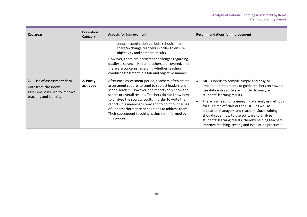| Key areas                                                                                                      | <b>Evaluation</b><br>Category                                                                                                                                                  | <b>Aspects for improvement</b>                                                                                                                                                                                                                                                                                           | <b>Recommendations for improvement</b>                                                                                                                                     |
|----------------------------------------------------------------------------------------------------------------|--------------------------------------------------------------------------------------------------------------------------------------------------------------------------------|--------------------------------------------------------------------------------------------------------------------------------------------------------------------------------------------------------------------------------------------------------------------------------------------------------------------------|----------------------------------------------------------------------------------------------------------------------------------------------------------------------------|
|                                                                                                                |                                                                                                                                                                                | annual examination periods, schools may<br>share/exchange teachers in order to ensure<br>objectivity and compare results.                                                                                                                                                                                                |                                                                                                                                                                            |
|                                                                                                                |                                                                                                                                                                                | However, there are persistent challenges regarding<br>quality assurance. Not all teachers are covered, and<br>there are concerns regarding whether teachers<br>conduct assessment in a fair and objective manner.                                                                                                        |                                                                                                                                                                            |
| Use of assessment data<br>7.<br>Data from classroom<br>assessment is used to improve<br>teaching and learning. | 2. Partly<br>achieved                                                                                                                                                          | After each assessment period, teachers often create<br>assessment reports to send to subject leaders and<br>school leaders. However, the reports only show the<br>scores or overall results. Teachers do not know how<br>to analyze the scores/results in order to write the                                             | MOET needs to compile simple and easy-to-<br>implement documents to guide teachers on how to<br>use data entry software in order to analyze<br>students' learning results. |
|                                                                                                                | reports in a meaningful way and to point out causes<br>of underperformance or solutions to address them.<br>Their subsequent teaching is thus not informed by<br>this process. | There is a need for training in data analysis methods<br>for full-time officials of the DOET, as well as<br>education managers and teachers. Such training<br>should cover how to use software to analyze<br>students' learning results, thereby helping teachers<br>improve teaching, testing and evaluation practices. |                                                                                                                                                                            |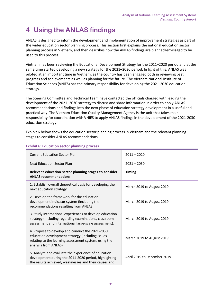# <span id="page-30-0"></span>**4 Using the ANLAS findings**

ANLAS is designed to inform the development and implementation of improvement strategies as part of the wider education sector planning process. This section first explains the national education sector planning process in Vietnam, and then describes how the ANLAS findings are planned/envisaged to be used to this process.

Vietnam has been reviewing the Educational Development Strategy for the 2011–2020 period and at the same time started developing a new strategy for the 2021–2030 period. In light of this, ANLAS was piloted at an important time in Vietnam, as the country has been engaged both in reviewing past progress and achievements as well as planning for the future. The Vietnam National Institute of Education Sciences (VNIES) has the primary responsibility for developing the 2021-2030 education strategy.

The Steering Committee and Technical Team have contacted the officials charged with leading the development of the 2021–2030 strategy to discuss and share information in order to apply ANLAS recommendations and findings into the next phase of education strategy development in a useful and practical way. The Vietnam Education Quality Management Agency is the unit that takes main responsibility for coordination with VNIES to apply ANLAS findings in the development of the 2021-2030 education strategy.

[Exhibit 6](#page-30-1) below shows the education sector planning process in Vietnam and the relevant planning stages to consider ANLAS recommendations.

| <b>Current Education Sector Plan</b>                                                                                                                                                 | $2011 - 2020$               |
|--------------------------------------------------------------------------------------------------------------------------------------------------------------------------------------|-----------------------------|
| Next Education Sector Plan                                                                                                                                                           | $2021 - 2030$               |
| Relevant education sector planning stages to consider<br><b>ANLAS recommendations</b>                                                                                                | <b>Timing</b>               |
| 1. Establish overall theoretical basis for developing the<br>next education strategy                                                                                                 | March 2019 to August 2019   |
| 2. Develop the framework for the education<br>development indicator system (including the<br>recommendations resulting from ANLAS)                                                   | March 2019 to August 2019   |
| 3. Study international experiences to develop education<br>strategy (including regarding examinations, classroom<br>assessment and international large-scale assessment).            | March 2019 to August 2019   |
| 4. Propose to develop and conduct the 2021-2030<br>education development strategy (including issues<br>relating to the learning assessment system, using the<br>analysis from ANLAS) | March 2019 to August 2019   |
| 5. Analyze and evaluate the experience of education<br>development during the 2011-2020 period, highlighting<br>the results achieved, weaknesses and their causes and                | April 2019 to December 2019 |

### <span id="page-30-1"></span>**Exhibit 6: Education sector planning process**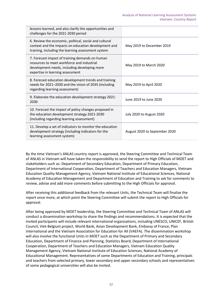| lessons learned, and also clarify the opportunities and<br>challenges for the 2021-2030 period                                                                                    |                               |
|-----------------------------------------------------------------------------------------------------------------------------------------------------------------------------------|-------------------------------|
| 6. Review the economic, political, social and cultural<br>context and the impacts on education development and<br>training, including the learning assessment system              | May 2019 to December 2019     |
| 7. Forecast impact of training demands on human<br>resources to meet workforce and industrial<br>development needs, including developing more<br>expertise in learning assessment | May 2019 to March 2020        |
| 8. Forecast education development trends and training<br>needs for 2021-2030 and the vision of 2035 (including<br>regarding learning assessment)                                  | May 2019 to April 2020        |
| 9. Elaborate the education development strategy 2021-<br>2030                                                                                                                     | June 2019 to June 2020        |
| 10. Forecast the impact of policy changes proposed in<br>the education development strategy 2021-2030<br>(including regarding learning assessment)                                | July 2020 to August 2020      |
| 11. Develop a set of indicators to monitor the education<br>development strategy (including indicators for the<br>learning assessment system)                                     | August 2020 to September 2020 |

By the time Vietnam's ANLAS country report is approved, the Steering Committee and Technical Team of ANLAS in Vietnam will have taken the responsibility to send the report to High Officials of MOET and stakeholders such as: Department of Secondary Education, Department of Primary Education, Department of International Cooperation, Department of Teachers and Education Managers, Vietnam Education Quality Management Agency, Vietnam National Institute of Educational Sciences, National Academy of Education Management and Department of Education and Training to ask for comments to review, advise and add more comments before submitting to the High Officials for approval.

After receiving this additional feedback from the relevant Units, the Technical Team will finalize the report once more, at which point the Steering Committee will submit the report to High Officials for approval.

After being approved by MOET leadership, the Steering Committee and Technical Team of ANLAS will conduct a dissemination workshop to share the findings and recommendations. It is expected that the invited participants will include relevant international organizations, including UNESCO, UNICEF, British Council, Viet-Belgium project, World Bank, Asian Development Bank, Embassy of France, Plan International and the Vietnam Association for Education for All (VAEFA). The dissemination workshop will also involve the functional Units in MOET such as the Department of Primary and Secondary Education, Department of Finance and Planning, Statistics Board, Department of International Cooperation, Department of Teachers and Education Managers, Vietnam Education Quality Management Agency, Vietnam National Institute of Education Sciences, National Academy of Educational Management. Representatives of some Departments of Education and Training, principals and teachers from selected primary, lower secondary and upper secondary schools and representatives of some pedagogical universities will also be invited.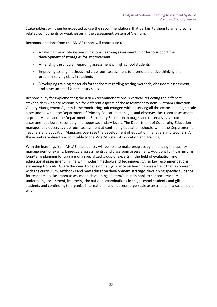Stakeholders will then be expected to use the recommendations that pertain to them to amend some related components or weaknesses in the assessment system of Vietnam.

Recommendations from the ANLAS report will contribute to:

- Analyzing the whole system of national learning assessment in order to support the development of strategies for improvement
- Amending the circular regarding assessment of high school students
- Improving testing methods and classroom assessment to promote creative thinking and problem-solving skills in students
- Developing training materials for teachers regarding testing methods, classroom assessment, and assessment of 21st century skills

Responsibility for implementing the ANLAS recommendations is vertical, reflecting the different stakeholders who are responsible for different aspects of the assessment system. Vietnam Education Quality Management Agency is the monitoring unit charged with observing all the exams and large-scale assessment, while the Department of Primary Education manages and observes classroom assessment at primary level and the Department of Secondary Education manages and observes classroom assessment at lower secondary and upper secondary levels. The Department of Continuing Education manages and observes classroom assessment at continuing education schools, while the Department of Teachers and Education Managers oversees the development of education managers and teachers. All these units are directly accountable to the Vice Minister of Education and Training.

<span id="page-32-0"></span>With the learnings from ANLAS, the country will be able to make progress by enhancing the quality management of exams, large-scale assessments, and classroom assessment. Additionally, it can inform long-term planning for training of a specialized group of experts in the field of evaluation and educational assessment, in line with modern methods and techniques. Other key recommendations stemming from ANLAS are the need to develop new guidance on learning assessment that is coherent with the curriculum, textbooks and new education development strategy, developing specific guidance for teachers on classroom assessment, developing an item/question bank to support teachers in undertaking assessment, improving the national examinations for high school students and gifted students and continuing to organize international and national large-scale assessments in a sustainable way.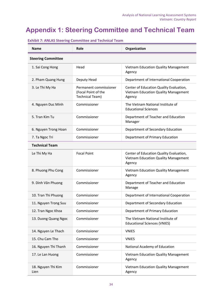# **Appendix 1: Steering Committee and Technical Team**

| <b>Name</b>                | Role                                                             | Organization                                                                              |
|----------------------------|------------------------------------------------------------------|-------------------------------------------------------------------------------------------|
| <b>Steering Committee</b>  |                                                                  |                                                                                           |
| 1. Sai Cong Hong           | Head                                                             | Vietnam Education Quality Management<br>Agency                                            |
| 2. Pham Quang Hung         | Deputy Head                                                      | Department of International Cooperation                                                   |
| 3. Le Thi My Ha            | Permanent commissioner<br>(Focal Point of the<br>Technical Team) | Center of Education Quality Evaluation,<br>Vietnam Education Quality Management<br>Agency |
| 4. Nguyen Duc Minh         | Commissioner                                                     | The Vietnam National Institute of<br><b>Educational Sciences</b>                          |
| 5. Tran Kim Tu             | Commissioner                                                     | Department of Teacher and Education<br>Manager                                            |
| 6. Nguyen Trong Hoan       | Commissioner                                                     | Department of Secondary Education                                                         |
| 7. Ta Ngoc Tri             | Commissioner                                                     | Department of Primary Education                                                           |
| <b>Technical Team</b>      |                                                                  |                                                                                           |
| Le Thi My Ha               | <b>Focal Point</b>                                               | Center of Education Quality Evaluation,<br>Vietnam Education Quality Management<br>Agency |
| 8. Phuong Phu Cong         | Commissioner                                                     | Vietnam Education Quality Management<br>Agency                                            |
| 9. Dinh Văn Phuong         | Commissioner                                                     | Department of Teacher and Education<br>Manage                                             |
| 10. Tran Thi Phuong        | Commissioner                                                     | Department of International Cooperation                                                   |
| 11. Nguyen Trong Suu       | Commissioner                                                     | Department of Secondary Education                                                         |
| 12. Tran Ngoc Khoa         | Commissioner                                                     | Department of Primary Education                                                           |
| 13. Duong Quang Ngoc       | Commissioner                                                     | The Vietnam National Institute of<br><b>Educational Sciences (VNIES)</b>                  |
| 14. Nguyen Le Thach        | Commissioner                                                     | <b>VNIES</b>                                                                              |
| 15. Chu Cam Tho            | Commissioner                                                     | <b>VNIES</b>                                                                              |
| 16. Nguyen Thi Thanh       | Commissioner                                                     | National Academy of Education                                                             |
| 17. Le Lan Huong           | Commissioner                                                     | Vietnam Education Quality Management<br>Agency                                            |
| 18. Nguyen Thi Kim<br>Lien | Commissioner                                                     | Vietnam Education Quality Management<br>Agency                                            |

 **Exhibit 7: ANLAS Steering Committee and Technical Team**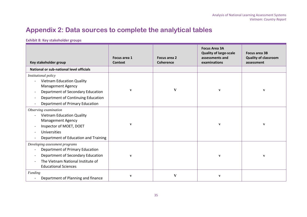## **Appendix 2: Data sources to complete the analytical tables**

### **Exhibit 8: Key stakeholder groups**

<span id="page-34-0"></span>

| Key stakeholder group                                                                                                                                                                       | Focus area 1<br><b>Context</b> | Focus area 2<br><b>Coherence</b> | <b>Focus Area 3A</b><br><b>Quality of large-scale</b><br>assessments and<br>examinations | <b>Focus area 3B</b><br><b>Quality of classroom</b><br>assessment |
|---------------------------------------------------------------------------------------------------------------------------------------------------------------------------------------------|--------------------------------|----------------------------------|------------------------------------------------------------------------------------------|-------------------------------------------------------------------|
| National or sub-national level officials                                                                                                                                                    |                                |                                  |                                                                                          |                                                                   |
| Institutional policy<br><b>Vietnam Education Quality</b><br>Management Agency<br>Department of Secondary Education<br>Department of Continuing Education<br>Department of Primary Education | $\mathbf{v}$                   | $\mathbf{V}$                     | $\mathbf{v}$                                                                             | $\mathbf{v}$                                                      |
| Observing examination<br><b>Vietnam Education Quality</b><br><b>Management Agency</b><br>Inspector of MOET, DOET<br><b>Universities</b><br>Department of Education and Training             | $\mathbf{v}$                   |                                  | $\mathbf{v}$                                                                             | $\mathbf{v}$                                                      |
| Developing assessment programs<br>Department of Primary Education<br>Department of Secondary Education<br>The Vietnam National Institute of<br><b>Educational Sciences</b>                  | $\mathbf{v}$                   |                                  | $\mathbf{V}$                                                                             | $\boldsymbol{\mathrm{v}}$                                         |
| <b>Funding</b><br>Department of Planning and finance                                                                                                                                        | $\mathbf{v}$                   | V                                | $\boldsymbol{\mathrm{v}}$                                                                |                                                                   |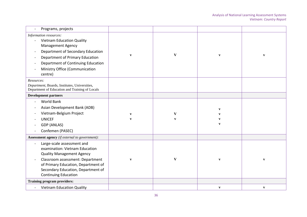| Programs, projects                                                                                                                                                                                                                                |              |              |              |              |
|---------------------------------------------------------------------------------------------------------------------------------------------------------------------------------------------------------------------------------------------------|--------------|--------------|--------------|--------------|
| Information resources:<br><b>Vietnam Education Quality</b><br><b>Management Agency</b><br>Department of Secondary Education<br>Department of Primary Education<br>Department of Continuing Education<br>Ministry Office (Communication<br>centre) | $\mathbf{V}$ | V            | $\mathbf{V}$ | $\mathbf{V}$ |
| Resources:<br>Department, Boards, Institutes, Universities,<br>Department of Education and Training of Locals                                                                                                                                     |              |              |              |              |
| <b>Development partners</b>                                                                                                                                                                                                                       |              |              |              |              |
| <b>World Bank</b><br>Asian Development Bank (ADB)                                                                                                                                                                                                 |              |              | $\mathbf{v}$ |              |
| Vietnam-Belgium Project                                                                                                                                                                                                                           | $\mathbf{V}$ | V            |              |              |
| <b>UNICEF</b>                                                                                                                                                                                                                                     | $\mathbf{v}$ | $\mathbf{v}$ | v            |              |
| <b>GDP (ANLAS)</b>                                                                                                                                                                                                                                |              |              | $\mathbf{v}$ |              |
| Confemen (PASEC)                                                                                                                                                                                                                                  |              |              |              |              |
| Assessment agency (if external to government):                                                                                                                                                                                                    |              |              |              |              |
| Large-scale assessment and<br>examination: Vietnam Education<br><b>Quality Management Agency</b><br>Classroom assessment: Department<br>of Primary Education, Department of<br>Secondary Education, Department of<br><b>Continuing Education</b>  | $\mathbf{V}$ | V            | $\mathbf{v}$ | $\mathbf{V}$ |
| <b>Training program providers:</b>                                                                                                                                                                                                                |              |              |              |              |
| <b>Vietnam Education Quality</b>                                                                                                                                                                                                                  |              |              | $\mathbf{v}$ | $\mathbf{v}$ |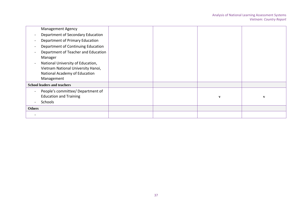|                          | <b>Management Agency</b>                                                                                               |  |              |   |
|--------------------------|------------------------------------------------------------------------------------------------------------------------|--|--------------|---|
| $\overline{\phantom{a}}$ | Department of Secondary Education                                                                                      |  |              |   |
|                          | Department of Primary Education                                                                                        |  |              |   |
|                          | Department of Continuing Education                                                                                     |  |              |   |
|                          | Department of Teacher and Education<br>Manager                                                                         |  |              |   |
|                          | National University of Education,<br>Vietnam National University Hanoi,<br>National Academy of Education<br>Management |  |              |   |
|                          | <b>School leaders and teachers</b>                                                                                     |  |              |   |
| $\overline{\phantom{a}}$ | People's committee/ Department of<br><b>Education and Training</b><br><b>Schools</b>                                   |  | $\mathbf{v}$ | V |
| <b>Others</b>            |                                                                                                                        |  |              |   |
|                          |                                                                                                                        |  |              |   |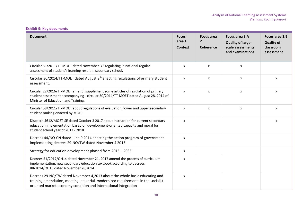### **Exhibit 9: Key documents**

| <b>Document</b>                                                                                                                                                                                                                     | <b>Focus</b><br>area 1<br>Context | <b>Focus area</b><br>$\overline{2}$<br><b>Coherence</b> | Focus area 3.A<br><b>Quality of large-</b><br>scale assessments<br>and examinations | Focus area 3.B<br><b>Quality of</b><br>classroom<br>assessment |
|-------------------------------------------------------------------------------------------------------------------------------------------------------------------------------------------------------------------------------------|-----------------------------------|---------------------------------------------------------|-------------------------------------------------------------------------------------|----------------------------------------------------------------|
| Circular 51/2011/TT-MOET dated November 3rd regulating in national regular<br>assessment of student's learning result in secondary school.                                                                                          | X                                 | X                                                       | X                                                                                   |                                                                |
| Circular 30/2014/TT-MOET dated August 8 <sup>th</sup> enacting regulations of primary student<br>assessment.                                                                                                                        | X                                 | X                                                       | X                                                                                   | X                                                              |
| Circular 22/2016/TT-MOET amend, supplement some articles of regulation of primary<br>student assessment accompanying - circular 30/2014/TT-MOET dated August 28, 2014 of<br>Minister of Education and Training.                     | $\mathsf{x}$                      | X                                                       | X                                                                                   | X                                                              |
| Circular 58/2011/TT-MOET about regulations of evaluation, lower and upper secondary<br>student ranking enacted by MOET                                                                                                              | $\pmb{\chi}$                      | $\pmb{\chi}$                                            | $\boldsymbol{\mathsf{x}}$                                                           | X                                                              |
| Dispatch 4612/MOET-SE dated October 3 2017 about instruction for current secondary<br>education implementation based on development-oriented capacity and moral for<br>student school year of 2017 - 2018                           | $\pmb{\chi}$                      |                                                         |                                                                                     | X                                                              |
| Decrees 44/NQ-CN dated June 9 2014 enacting the action program of government<br>implementing decrees 29-NQ/TW dated November 4 2013                                                                                                 | $\mathsf{x}$                      |                                                         |                                                                                     |                                                                |
| Strategy for education development phased from 2015 - 2035                                                                                                                                                                          | $\mathsf{x}$                      |                                                         |                                                                                     |                                                                |
| Decrees 51/2017/QH14 dated November 21, 2017 amend the process of curriculum<br>implementation, new secondary education textbook according to decrees<br>88/2014/QH13 dated November 28,2014                                        | X                                 |                                                         |                                                                                     |                                                                |
| Decrees 29-NQ/TW dated November 4,2013 about the whole basic educating and<br>training amendation, meeting industrial, modernized requirements in the socialist-<br>oriented market economy condition and international integration | X                                 |                                                         |                                                                                     |                                                                |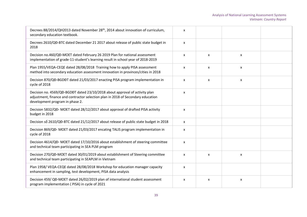| Decrees 88/2014/QH2013 dated November 28 <sup>th</sup> , 2014 about innovation of curriculum,<br>secondary education textbook.                                                                     | X                         |                           |                    |  |
|----------------------------------------------------------------------------------------------------------------------------------------------------------------------------------------------------|---------------------------|---------------------------|--------------------|--|
| Decrees 2610/QĐ-BTC dated December 21 2017 about release of public state budget in<br>2018                                                                                                         | X                         |                           |                    |  |
| Decision no.460/QĐ-MOET dated February 26 2019 Plan for national assessment<br>implementation of grade-11-student's learning result in school year of 2018-2019                                    | $\pmb{\mathsf{X}}$        | $\pmb{\chi}$              | X                  |  |
| Plan 1955/VEQA-CEQE dated 28/08/2018 Training how to apply PISA assessment<br>method into secondary education assessment innovation in provinces/cities in 2018                                    | $\pmb{\times}$            | $\pmb{\times}$            | $\mathsf{x}$       |  |
| Decision 870/QĐ-BGDĐT dated 21/03/2017 enacting PISA program implementation in<br>cycle of 2018                                                                                                    | $\pmb{\chi}$              | $\pmb{\chi}$              | $\pmb{\mathsf{X}}$ |  |
| Decision no. 4569/QĐ-BGDĐT dated 23/10/2018 about approval of activity plan<br>adjustment, finance and contractor selection plan in 2018 of Secondary education<br>development program in phase 2. | $\pmb{\chi}$              |                           |                    |  |
| Decision 5832/QĐ- MOET dated 28/12/2017 about approval of drafted PISA activity<br>budget in 2018                                                                                                  | $\pmb{\chi}$              |                           |                    |  |
| Decision số 2610/QĐ-BTC dated 21/12/2017 about release of public state budget in 2018                                                                                                              | $\mathsf{x}$              |                           |                    |  |
| Decision 869/QĐ- MOET dated 21/03/2017 encating TALIS program implementation in<br>cycle of 2018                                                                                                   | X                         |                           |                    |  |
| Decision 4614/QD- MOET dated 17/10/2016 about establishment of steering committee<br>and technical team participating in SEA PLM program                                                           | X                         |                           |                    |  |
| Decision 270/QĐ-MOET dated 30/01/2019 about establishment of Steering committee<br>and technical team participating in SEAPLM in Vietnam                                                           | $\boldsymbol{\mathsf{x}}$ | $\mathsf{x}$              | X                  |  |
| Plan 1958/VEQA-CEQE dated 28/08/2018 Workshop for education manager capacity<br>enhancement in sampling, test development, PISA data analysis                                                      | X                         |                           |                    |  |
| Decision 459/QĐ-MOET dated 26/02/2019 plan of international student assessment<br>program implementation (PISA) in cycle of 2021                                                                   | X                         | $\boldsymbol{\mathsf{x}}$ | X                  |  |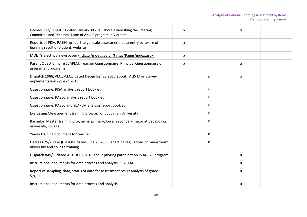| Decrees 277/QĐ-MOET dated January 30 2019 about establishing the Steering<br>Committee and Techincal Team of ANLAS program in Vietnam | $\mathbf{x}$     |                  | $\mathbf{x}$     |  |
|---------------------------------------------------------------------------------------------------------------------------------------|------------------|------------------|------------------|--|
| Reports of PISA, PASEC, grade 5 large-scale assessment, data-entry software of<br>learning result of student, website                 | $\boldsymbol{x}$ |                  |                  |  |
| MOET's electrical newspaper (https://moet.gov.vn/tintuc/Pages/index.aspx)                                                             | $\mathbf{x}$     |                  |                  |  |
| Parent Questionnaire SEAPLM; Teacher Questionnaire, Principal Questionnaire of<br>assessment programs                                 | $\mathbf{x}$     |                  | $\boldsymbol{x}$ |  |
| Dispatch 1988/VEQE-CEQE dated December 22 2017 about TALIS Main survey<br>implementation cycle of 2018                                |                  | X                | X                |  |
| Questionnaire, PISA analysis report booklet                                                                                           |                  | $\mathbf{x}$     |                  |  |
| Questionnaire, PASEC analysis report booklet                                                                                          |                  | $\mathbf{x}$     |                  |  |
| Questionnaire, PASEC and SEAPLM analysis report booklet                                                                               |                  | $\boldsymbol{x}$ |                  |  |
| Evaluating Measurement training program of Education University                                                                       |                  | $\boldsymbol{x}$ |                  |  |
| Bachelor, Master training program in primary, lower secondary major at pedagogics<br>university, college.                             |                  | X                |                  |  |
| Yearly training document for teacher                                                                                                  |                  | $\mathbf{x}$     |                  |  |
| Decrees 25/2006/QĐ-MOET dated June 26 2006, enacting regulations of mainstream<br>university and college training                     |                  | X                |                  |  |
| Dispatch 849/IC dated August 02 2018 about piloting participation in ANLAS program                                                    |                  |                  | $\boldsymbol{x}$ |  |
| Instructional documents for data process and analysis PISA, TALIS                                                                     |                  |                  | X                |  |
| Report of sampling, data, status of date for assessment result analysis of grade<br>5,9,11                                            |                  |                  | $\mathbf{x}$     |  |
| Instructional documents for data process and analysis                                                                                 |                  |                  | $\mathbf{x}$     |  |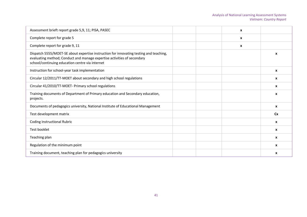| Assessment brieft report grade 5,9, 11; PISA, PASEC                                                                                                                                                                  | X |                  |
|----------------------------------------------------------------------------------------------------------------------------------------------------------------------------------------------------------------------|---|------------------|
| Complete report for grade 5                                                                                                                                                                                          | X |                  |
| Complete report for grade 9, 11                                                                                                                                                                                      | X |                  |
| Dispatch 5555/MOET-SE about expertise instruction for innovating testing and teaching,<br>evaluating method; Conduct and manage expertise activities of secondary<br>school/continuing education centre via internet |   | X                |
| Instruction for school-year task implementation                                                                                                                                                                      |   | X                |
| Circular 12/2011/TT-MOET about secondary and high school regulations                                                                                                                                                 |   | X                |
| Circular 41/2010/TT-MOET- Primary school regulations                                                                                                                                                                 |   | X                |
| Training documents of Department of Primary education and Secondary education,<br>projects.                                                                                                                          |   | $\boldsymbol{x}$ |
| Documents of pedagogics university, National Institute of Educational Management                                                                                                                                     |   | $\mathbf{x}$     |
| Test development matrix                                                                                                                                                                                              |   | <b>Cx</b>        |
| <b>Coding Instructional Rubric</b>                                                                                                                                                                                   |   | $\mathbf{x}$     |
| Test booklet                                                                                                                                                                                                         |   | X                |
| Teaching plan                                                                                                                                                                                                        |   | X                |
| Regulation of the minimum point                                                                                                                                                                                      |   | X                |
| Training document, teaching plan for pedagogics university                                                                                                                                                           |   | X                |